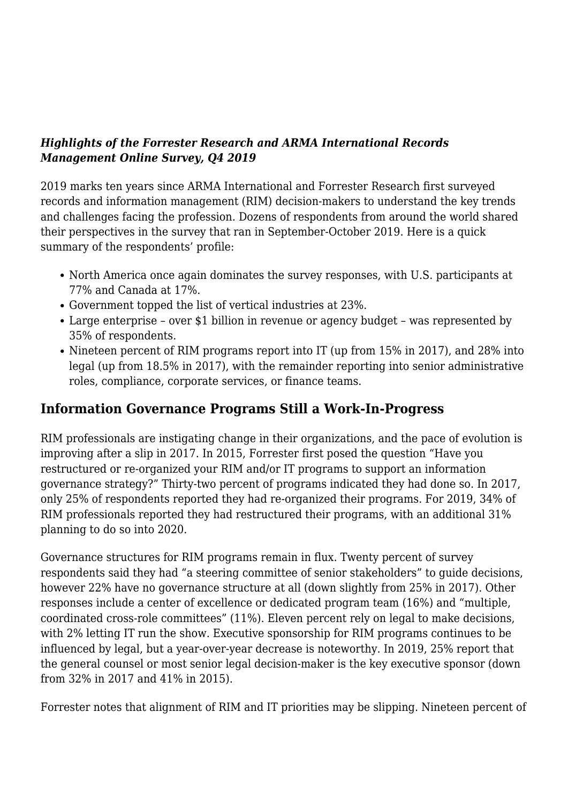#### *Highlights of the Forrester Research and ARMA International Records Management Online Survey, Q4 2019*

2019 marks ten years since ARMA International and Forrester Research first surveyed records and information management (RIM) decision-makers to understand the key trends and challenges facing the profession. Dozens of respondents from around the world shared their perspectives in the survey that ran in September-October 2019. Here is a quick summary of the respondents' profile:

- North America once again dominates the survey responses, with U.S. participants at 77% and Canada at 17%.
- Government topped the list of vertical industries at 23%.
- Large enterprise over \$1 billion in revenue or agency budget was represented by 35% of respondents.
- Nineteen percent of RIM programs report into IT (up from 15% in 2017), and 28% into legal (up from 18.5% in 2017), with the remainder reporting into senior administrative roles, compliance, corporate services, or finance teams.

### **Information Governance Programs Still a Work-In-Progress**

RIM professionals are instigating change in their organizations, and the pace of evolution is improving after a slip in 2017. In 2015, Forrester first posed the question "Have you restructured or re-organized your RIM and/or IT programs to support an information governance strategy?" Thirty-two percent of programs indicated they had done so. In 2017, only 25% of respondents reported they had re-organized their programs. For 2019, 34% of RIM professionals reported they had restructured their programs, with an additional 31% planning to do so into 2020.

Governance structures for RIM programs remain in flux. Twenty percent of survey respondents said they had "a steering committee of senior stakeholders" to guide decisions, however 22% have no governance structure at all (down slightly from 25% in 2017). Other responses include a center of excellence or dedicated program team (16%) and "multiple, coordinated cross-role committees" (11%). Eleven percent rely on legal to make decisions, with 2% letting IT run the show. Executive sponsorship for RIM programs continues to be influenced by legal, but a year-over-year decrease is noteworthy. In 2019, 25% report that the general counsel or most senior legal decision-maker is the key executive sponsor (down from 32% in 2017 and 41% in 2015).

Forrester notes that alignment of RIM and IT priorities may be slipping. Nineteen percent of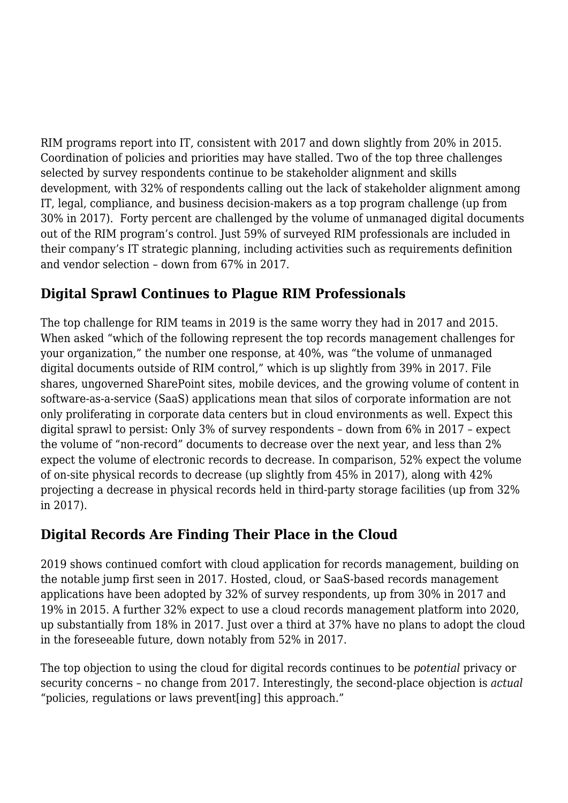RIM programs report into IT, consistent with 2017 and down slightly from 20% in 2015. Coordination of policies and priorities may have stalled. Two of the top three challenges selected by survey respondents continue to be stakeholder alignment and skills development, with 32% of respondents calling out the lack of stakeholder alignment among IT, legal, compliance, and business decision-makers as a top program challenge (up from 30% in 2017). Forty percent are challenged by the volume of unmanaged digital documents out of the RIM program's control. Just 59% of surveyed RIM professionals are included in their company's IT strategic planning, including activities such as requirements definition and vendor selection – down from 67% in 2017.

## **Digital Sprawl Continues to Plague RIM Professionals**

The top challenge for RIM teams in 2019 is the same worry they had in 2017 and 2015. When asked "which of the following represent the top records management challenges for your organization," the number one response, at 40%, was "the volume of unmanaged digital documents outside of RIM control," which is up slightly from 39% in 2017. File shares, ungoverned SharePoint sites, mobile devices, and the growing volume of content in software-as-a-service (SaaS) applications mean that silos of corporate information are not only proliferating in corporate data centers but in cloud environments as well. Expect this digital sprawl to persist: Only 3% of survey respondents – down from 6% in 2017 – expect the volume of "non-record" documents to decrease over the next year, and less than 2% expect the volume of electronic records to decrease. In comparison, 52% expect the volume of on-site physical records to decrease (up slightly from 45% in 2017), along with 42% projecting a decrease in physical records held in third-party storage facilities (up from 32% in 2017).

# **Digital Records Are Finding Their Place in the Cloud**

2019 shows continued comfort with cloud application for records management, building on the notable jump first seen in 2017. Hosted, cloud, or SaaS-based records management applications have been adopted by 32% of survey respondents, up from 30% in 2017 and 19% in 2015. A further 32% expect to use a cloud records management platform into 2020, up substantially from 18% in 2017. Just over a third at 37% have no plans to adopt the cloud in the foreseeable future, down notably from 52% in 2017.

The top objection to using the cloud for digital records continues to be *potential* privacy or security concerns – no change from 2017. Interestingly, the second-place objection is *actual* "policies, regulations or laws prevent[ing] this approach."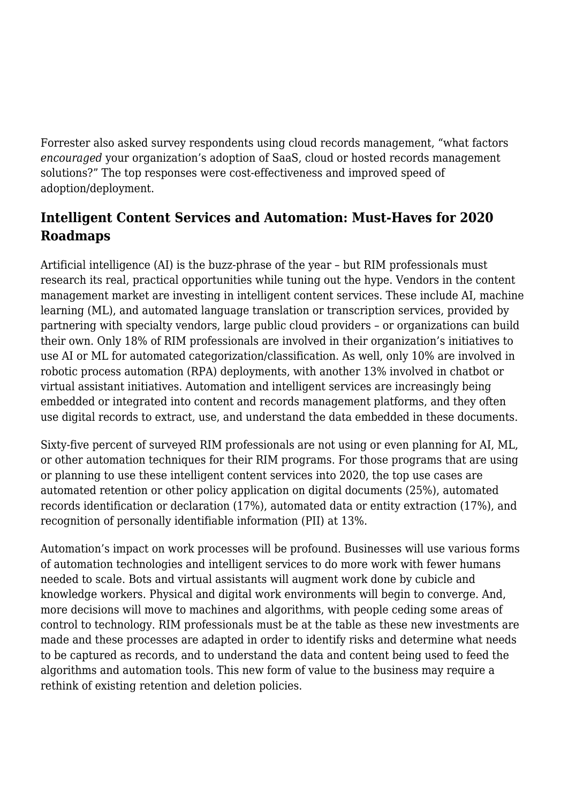Forrester also asked survey respondents using cloud records management, "what factors *encouraged* your organization's adoption of SaaS, cloud or hosted records management solutions?" The top responses were cost-effectiveness and improved speed of adoption/deployment.

# **Intelligent Content Services and Automation: Must-Haves for 2020 Roadmaps**

Artificial intelligence (AI) is the buzz-phrase of the year – but RIM professionals must research its real, practical opportunities while tuning out the hype. Vendors in the content management market are investing in intelligent content services. These include AI, machine learning (ML), and automated language translation or transcription services, provided by partnering with specialty vendors, large public cloud providers – or organizations can build their own. Only 18% of RIM professionals are involved in their organization's initiatives to use AI or ML for automated categorization/classification. As well, only 10% are involved in robotic process automation (RPA) deployments, with another 13% involved in chatbot or virtual assistant initiatives. Automation and intelligent services are increasingly being embedded or integrated into content and records management platforms, and they often use digital records to extract, use, and understand the data embedded in these documents.

Sixty-five percent of surveyed RIM professionals are not using or even planning for AI, ML, or other automation techniques for their RIM programs. For those programs that are using or planning to use these intelligent content services into 2020, the top use cases are automated retention or other policy application on digital documents (25%), automated records identification or declaration (17%), automated data or entity extraction (17%), and recognition of personally identifiable information (PII) at 13%.

Automation's impact on work processes will be profound. Businesses will use various forms of automation technologies and intelligent services to do more work with fewer humans needed to scale. Bots and virtual assistants will augment work done by cubicle and knowledge workers. Physical and digital work environments will begin to converge. And, more decisions will move to machines and algorithms, with people ceding some areas of control to technology. RIM professionals must be at the table as these new investments are made and these processes are adapted in order to identify risks and determine what needs to be captured as records, and to understand the data and content being used to feed the algorithms and automation tools. This new form of value to the business may require a rethink of existing retention and deletion policies.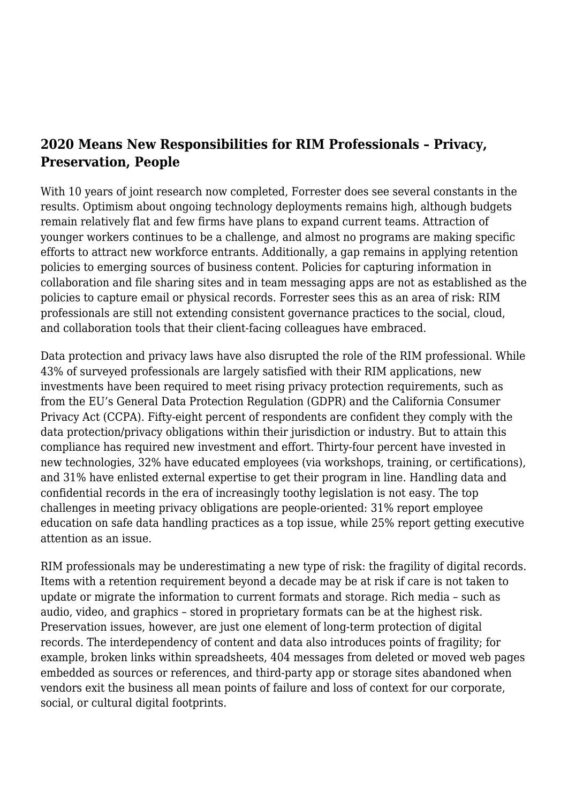### **2020 Means New Responsibilities for RIM Professionals – Privacy, Preservation, People**

With 10 years of joint research now completed, Forrester does see several constants in the results. Optimism about ongoing technology deployments remains high, although budgets remain relatively flat and few firms have plans to expand current teams. Attraction of younger workers continues to be a challenge, and almost no programs are making specific efforts to attract new workforce entrants. Additionally, a gap remains in applying retention policies to emerging sources of business content. Policies for capturing information in collaboration and file sharing sites and in team messaging apps are not as established as the policies to capture email or physical records. Forrester sees this as an area of risk: RIM professionals are still not extending consistent governance practices to the social, cloud, and collaboration tools that their client-facing colleagues have embraced.

Data protection and privacy laws have also disrupted the role of the RIM professional. While 43% of surveyed professionals are largely satisfied with their RIM applications, new investments have been required to meet rising privacy protection requirements, such as from the EU's General Data Protection Regulation (GDPR) and the California Consumer Privacy Act (CCPA). Fifty-eight percent of respondents are confident they comply with the data protection/privacy obligations within their jurisdiction or industry. But to attain this compliance has required new investment and effort. Thirty-four percent have invested in new technologies, 32% have educated employees (via workshops, training, or certifications), and 31% have enlisted external expertise to get their program in line. Handling data and confidential records in the era of increasingly toothy legislation is not easy. The top challenges in meeting privacy obligations are people-oriented: 31% report employee education on safe data handling practices as a top issue, while 25% report getting executive attention as an issue.

RIM professionals may be underestimating a new type of risk: the fragility of digital records. Items with a retention requirement beyond a decade may be at risk if care is not taken to update or migrate the information to current formats and storage. Rich media – such as audio, video, and graphics – stored in proprietary formats can be at the highest risk. Preservation issues, however, are just one element of long-term protection of digital records. The interdependency of content and data also introduces points of fragility; for example, broken links within spreadsheets, 404 messages from deleted or moved web pages embedded as sources or references, and third-party app or storage sites abandoned when vendors exit the business all mean points of failure and loss of context for our corporate, social, or cultural digital footprints.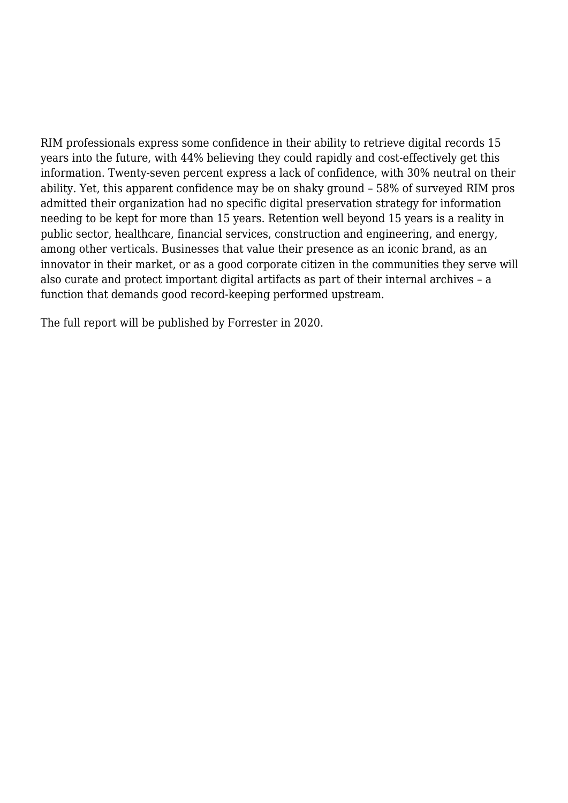RIM professionals express some confidence in their ability to retrieve digital records 15 years into the future, with 44% believing they could rapidly and cost-effectively get this information. Twenty-seven percent express a lack of confidence, with 30% neutral on their ability. Yet, this apparent confidence may be on shaky ground – 58% of surveyed RIM pros admitted their organization had no specific digital preservation strategy for information needing to be kept for more than 15 years. Retention well beyond 15 years is a reality in public sector, healthcare, financial services, construction and engineering, and energy, among other verticals. Businesses that value their presence as an iconic brand, as an innovator in their market, or as a good corporate citizen in the communities they serve will also curate and protect important digital artifacts as part of their internal archives – a function that demands good record-keeping performed upstream.

The full report will be published by Forrester in 2020.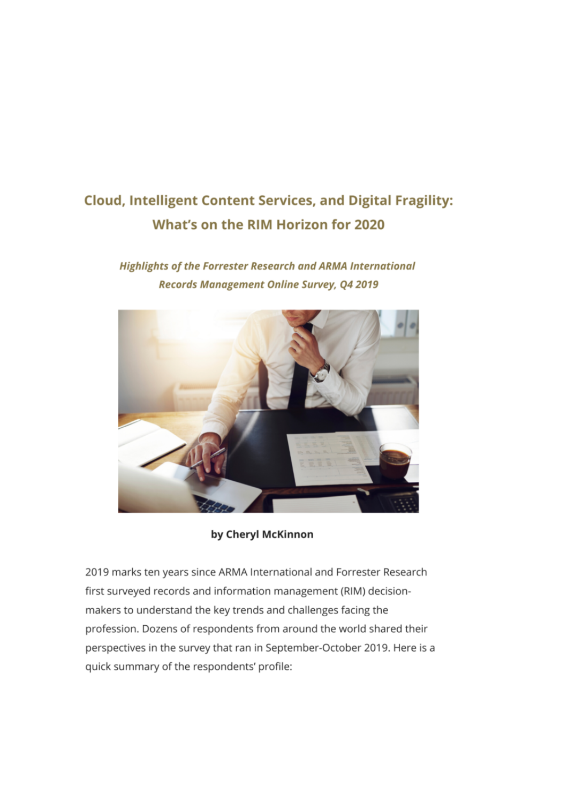# **Cloud, Intelligent Content Services, and Digital Fragility:** What's on the RIM Horizon for 2020

### **Highlights of the Forrester Research and ARMA International** Records Management Online Survey, Q4 2019



by Cheryl McKinnon

2019 marks ten years since ARMA International and Forrester Research first surveyed records and information management (RIM) decisionmakers to understand the key trends and challenges facing the profession. Dozens of respondents from around the world shared their perspectives in the survey that ran in September-October 2019. Here is a quick summary of the respondents' profile: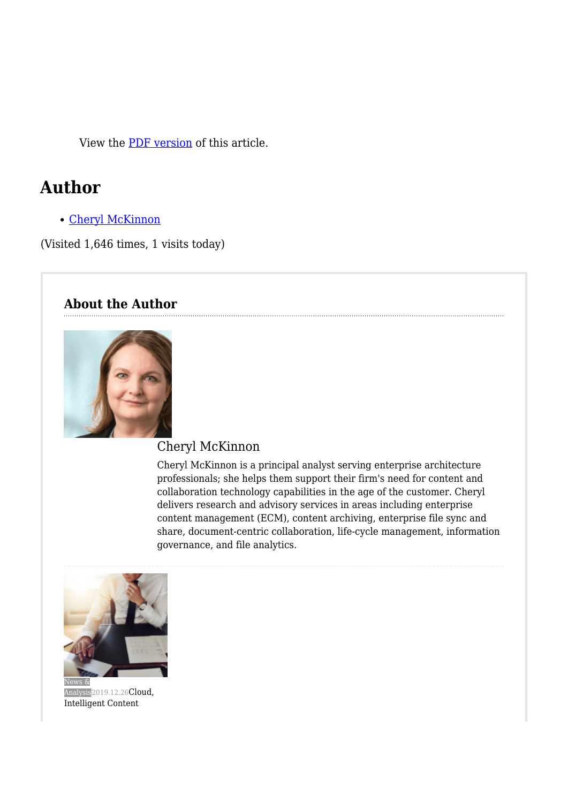View the [PDF version](https://magazine.arma.org/wp-content/uploads/2019/12/Forrester-2019-1.pdf) of this article.

# **Author**

[Cheryl McKinnon](https://magazine.arma.org/author/cheryl/)

(Visited 1,646 times, 1 visits today)

#### **About the Author**



### Cheryl McKinnon

Cheryl McKinnon is a principal analyst serving enterprise architecture professionals; she helps them support their firm's need for content and collaboration technology capabilities in the age of the customer. Cheryl delivers research and advisory services in areas including enterprise content management (ECM), content archiving, enterprise file sync and share, document-centric collaboration, life-cycle management, information governance, and file analytics.



[Analysis](https://magazine.arma.org/category/news-analysis/)<sup>2019.12.26</sup>[Cloud,](https://magazine.arma.org/2019/12/cloud-intelligent-content-services-and-digital-fragility-whats-on-the-rim-horizon-for-2020/) [Intelligent Content](https://magazine.arma.org/2019/12/cloud-intelligent-content-services-and-digital-fragility-whats-on-the-rim-horizon-for-2020/)